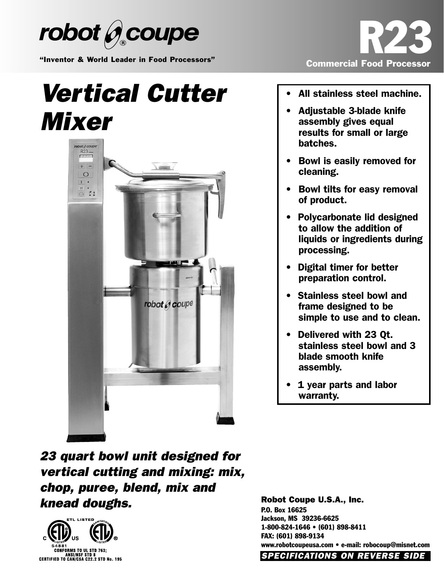

"Inventor & World Leader in Food Processors"

## *Vertical Cutter Mixer*





- All stainless steel machine.
- Adjustable 3-blade knife assembly gives equal results for small or large batches.
- Bowl is easily removed for cleaning.
- Bowl tilts for easy removal of product.
- Polycarbonate lid designed to allow the addition of liquids or ingredients during processing.
- Digital timer for better preparation control.
- Stainless steel bowl and frame designed to be simple to use and to clean.
- Delivered with 23 Qt. stainless steel bowl and 3 blade smooth knife assembly.
- 1 year parts and labor warranty.

*23 quart bowl unit designed for vertical cutting and mixing: mix, chop, puree, blend, mix and knead doughs.*



Robot Coupe U.S.A., Inc. P.O. Box 16625 Jackson, MS 39236-6625 1-800-824-1646 • (601) 898-8411 FAX: (601) 898-9134 www.robotcoupeusa.com • e-mail: robocoup@misnet.com *SPECIFICATIONS ON REVERSE SIDE*